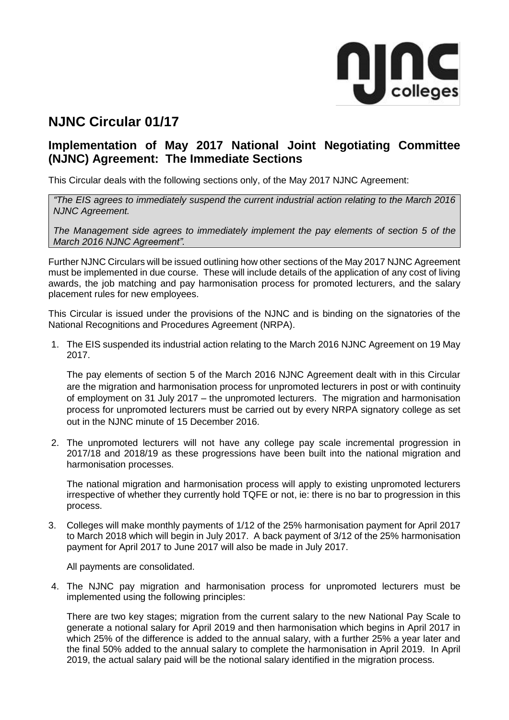

# **NJNC Circular 01/17**

# **Implementation of May 2017 National Joint Negotiating Committee (NJNC) Agreement: The Immediate Sections**

This Circular deals with the following sections only, of the May 2017 NJNC Agreement:

*"The EIS agrees to immediately suspend the current industrial action relating to the March 2016 NJNC Agreement.* 

*The Management side agrees to immediately implement the pay elements of section 5 of the March 2016 NJNC Agreement".*

Further NJNC Circulars will be issued outlining how other sections of the May 2017 NJNC Agreement must be implemented in due course. These will include details of the application of any cost of living awards, the job matching and pay harmonisation process for promoted lecturers, and the salary placement rules for new employees.

This Circular is issued under the provisions of the NJNC and is binding on the signatories of the National Recognitions and Procedures Agreement (NRPA).

1. The EIS suspended its industrial action relating to the March 2016 NJNC Agreement on 19 May 2017.

The pay elements of section 5 of the March 2016 NJNC Agreement dealt with in this Circular are the migration and harmonisation process for unpromoted lecturers in post or with continuity of employment on 31 July 2017 – the unpromoted lecturers. The migration and harmonisation process for unpromoted lecturers must be carried out by every NRPA signatory college as set out in the NJNC minute of 15 December 2016.

2. The unpromoted lecturers will not have any college pay scale incremental progression in 2017/18 and 2018/19 as these progressions have been built into the national migration and harmonisation processes.

The national migration and harmonisation process will apply to existing unpromoted lecturers irrespective of whether they currently hold TQFE or not, ie: there is no bar to progression in this process.

3. Colleges will make monthly payments of 1/12 of the 25% harmonisation payment for April 2017 to March 2018 which will begin in July 2017. A back payment of 3/12 of the 25% harmonisation payment for April 2017 to June 2017 will also be made in July 2017.

All payments are consolidated.

4. The NJNC pay migration and harmonisation process for unpromoted lecturers must be implemented using the following principles:

There are two key stages; migration from the current salary to the new National Pay Scale to generate a notional salary for April 2019 and then harmonisation which begins in April 2017 in which 25% of the difference is added to the annual salary, with a further 25% a year later and the final 50% added to the annual salary to complete the harmonisation in April 2019. In April 2019, the actual salary paid will be the notional salary identified in the migration process.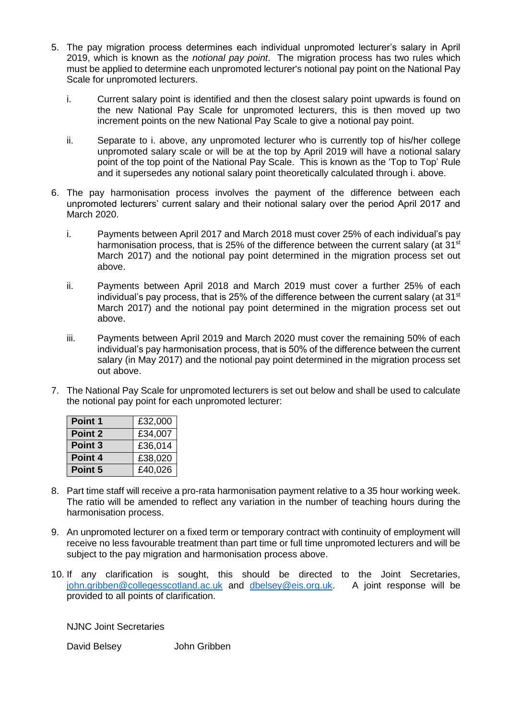- 5. The pay migration process determines each individual unpromoted lecturer's salary in April 2019, which is known as the *notional pay point*. The migration process has two rules which must be applied to determine each unpromoted lecturer's notional pay point on the National Pay Scale for unpromoted lecturers.
	- i. Current salary point is identified and then the closest salary point upwards is found on the new National Pay Scale for unpromoted lecturers, this is then moved up two increment points on the new National Pay Scale to give a notional pay point.
	- ii. Separate to i. above, any unpromoted lecturer who is currently top of his/her college unpromoted salary scale or will be at the top by April 2019 will have a notional salary point of the top point of the National Pay Scale. This is known as the 'Top to Top' Rule and it supersedes any notional salary point theoretically calculated through i. above.
- 6. The pay harmonisation process involves the payment of the difference between each unpromoted lecturers' current salary and their notional salary over the period April 2017 and March 2020.
	- i. Payments between April 2017 and March 2018 must cover 25% of each individual's pay harmonisation process, that is 25% of the difference between the current salary (at 31<sup>st</sup>) March 2017) and the notional pay point determined in the migration process set out above.
	- ii. Payments between April 2018 and March 2019 must cover a further 25% of each individual's pay process, that is 25% of the difference between the current salary (at  $31<sup>st</sup>$ ) March 2017) and the notional pay point determined in the migration process set out above.
	- iii. Payments between April 2019 and March 2020 must cover the remaining 50% of each individual's pay harmonisation process, that is 50% of the difference between the current salary (in May 2017) and the notional pay point determined in the migration process set out above.
- 7. The National Pay Scale for unpromoted lecturers is set out below and shall be used to calculate the notional pay point for each unpromoted lecturer:

| Point 1            | £32,000 |  |  |
|--------------------|---------|--|--|
| Point 2            | £34,007 |  |  |
| Point <sub>3</sub> | £36,014 |  |  |
| Point 4            | £38,020 |  |  |
| Point 5            | £40,026 |  |  |

- 8. Part time staff will receive a pro-rata harmonisation payment relative to a 35 hour working week. The ratio will be amended to reflect any variation in the number of teaching hours during the harmonisation process.
- 9. An unpromoted lecturer on a fixed term or temporary contract with continuity of employment will receive no less favourable treatment than part time or full time unpromoted lecturers and will be subject to the pay migration and harmonisation process above.
- 10. If any clarification is sought, this should be directed to the Joint Secretaries, [john.gribben@collegesscotland.ac.uk](mailto:john.gribben@collegesscotland.ac.uk) and [dbelsey@eis.org.uk.](mailto:dbelsey@eis.org.uk) A joint response will be provided to all points of clarification.

NJNC Joint Secretaries

David Belsey John Gribben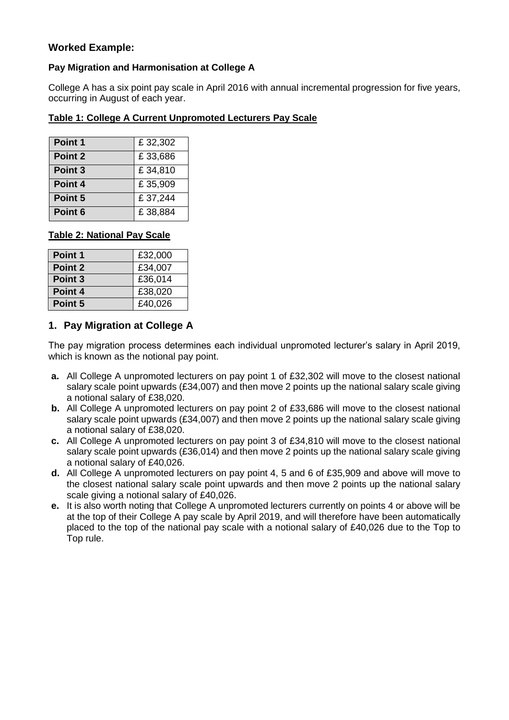# **Worked Example:**

### **Pay Migration and Harmonisation at College A**

College A has a six point pay scale in April 2016 with annual incremental progression for five years, occurring in August of each year.

| Table 1: College A Current Unpromoted Lecturers Pay Scale |
|-----------------------------------------------------------|
|-----------------------------------------------------------|

| Point 1            | £32,302 |
|--------------------|---------|
| Point 2            | £33,686 |
| Point <sub>3</sub> | £34,810 |
| Point 4            | £35,909 |
| Point 5            | £37,244 |
| Point 6            | £38,884 |

#### **Table 2: National Pay Scale**

| Point 1            | £32,000 |
|--------------------|---------|
| Point 2            | £34,007 |
| Point <sub>3</sub> | £36,014 |
| Point 4            | £38,020 |
| Point 5            | £40,026 |

# **1. Pay Migration at College A**

The pay migration process determines each individual unpromoted lecturer's salary in April 2019, which is known as the notional pay point.

- **a.** All College A unpromoted lecturers on pay point 1 of £32,302 will move to the closest national salary scale point upwards (£34,007) and then move 2 points up the national salary scale giving a notional salary of £38,020.
- **b.** All College A unpromoted lecturers on pay point 2 of £33,686 will move to the closest national salary scale point upwards (£34,007) and then move 2 points up the national salary scale giving a notional salary of £38,020.
- **c.** All College A unpromoted lecturers on pay point 3 of £34,810 will move to the closest national salary scale point upwards (£36,014) and then move 2 points up the national salary scale giving a notional salary of £40,026.
- **d.** All College A unpromoted lecturers on pay point 4, 5 and 6 of £35,909 and above will move to the closest national salary scale point upwards and then move 2 points up the national salary scale giving a notional salary of £40,026.
- **e.** It is also worth noting that College A unpromoted lecturers currently on points 4 or above will be at the top of their College A pay scale by April 2019, and will therefore have been automatically placed to the top of the national pay scale with a notional salary of £40,026 due to the Top to Top rule.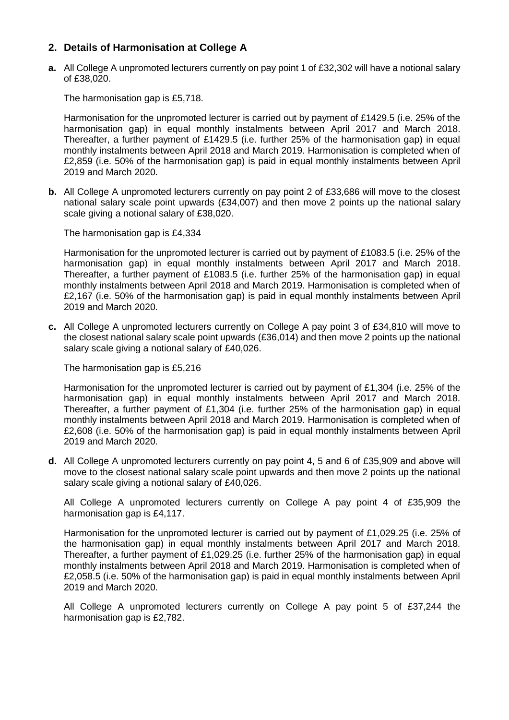# **2. Details of Harmonisation at College A**

**a.** All College A unpromoted lecturers currently on pay point 1 of £32,302 will have a notional salary of £38,020.

The harmonisation gap is £5,718.

Harmonisation for the unpromoted lecturer is carried out by payment of £1429.5 (i.e. 25% of the harmonisation gap) in equal monthly instalments between April 2017 and March 2018. Thereafter, a further payment of £1429.5 (i.e. further 25% of the harmonisation gap) in equal monthly instalments between April 2018 and March 2019. Harmonisation is completed when of £2,859 (i.e. 50% of the harmonisation gap) is paid in equal monthly instalments between April 2019 and March 2020.

**b.** All College A unpromoted lecturers currently on pay point 2 of £33,686 will move to the closest national salary scale point upwards (£34,007) and then move 2 points up the national salary scale giving a notional salary of £38,020.

The harmonisation gap is £4,334

Harmonisation for the unpromoted lecturer is carried out by payment of £1083.5 (i.e. 25% of the harmonisation gap) in equal monthly instalments between April 2017 and March 2018. Thereafter, a further payment of £1083.5 (i.e. further 25% of the harmonisation gap) in equal monthly instalments between April 2018 and March 2019. Harmonisation is completed when of £2,167 (i.e. 50% of the harmonisation gap) is paid in equal monthly instalments between April 2019 and March 2020.

**c.** All College A unpromoted lecturers currently on College A pay point 3 of £34,810 will move to the closest national salary scale point upwards (£36,014) and then move 2 points up the national salary scale giving a notional salary of £40,026.

The harmonisation gap is £5,216

Harmonisation for the unpromoted lecturer is carried out by payment of £1,304 (i.e. 25% of the harmonisation gap) in equal monthly instalments between April 2017 and March 2018. Thereafter, a further payment of £1,304 (i.e. further 25% of the harmonisation gap) in equal monthly instalments between April 2018 and March 2019. Harmonisation is completed when of £2,608 (i.e. 50% of the harmonisation gap) is paid in equal monthly instalments between April 2019 and March 2020.

**d.** All College A unpromoted lecturers currently on pay point 4, 5 and 6 of £35,909 and above will move to the closest national salary scale point upwards and then move 2 points up the national salary scale giving a notional salary of £40,026.

All College A unpromoted lecturers currently on College A pay point 4 of £35,909 the harmonisation gap is £4,117.

Harmonisation for the unpromoted lecturer is carried out by payment of £1,029.25 (i.e. 25% of the harmonisation gap) in equal monthly instalments between April 2017 and March 2018. Thereafter, a further payment of £1,029.25 (i.e. further 25% of the harmonisation gap) in equal monthly instalments between April 2018 and March 2019. Harmonisation is completed when of £2,058.5 (i.e. 50% of the harmonisation gap) is paid in equal monthly instalments between April 2019 and March 2020.

All College A unpromoted lecturers currently on College A pay point 5 of £37,244 the harmonisation gap is £2,782.